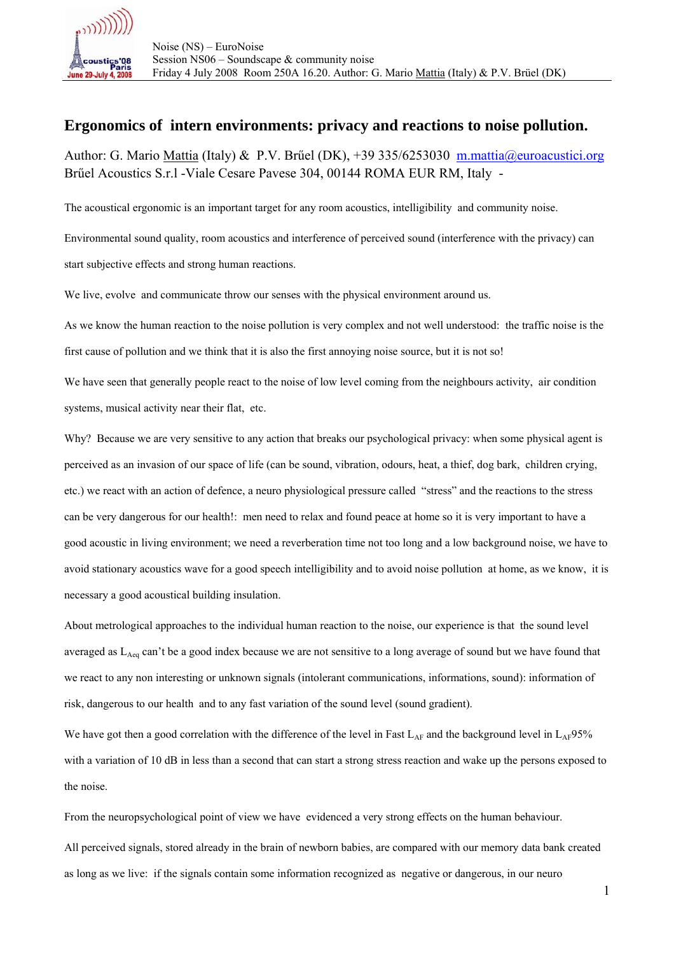

## **Ergonomics of intern environments: privacy and reactions to noise pollution.**

Author: G. Mario Mattia (Italy) & P.V. Brűel (DK), +39 335/6253030 m.mattia@euroacustici.org Brűel Acoustics S.r.l -Viale Cesare Pavese 304, 00144 ROMA EUR RM, Italy -

The acoustical ergonomic is an important target for any room acoustics, intelligibility and community noise.

Environmental sound quality, room acoustics and interference of perceived sound (interference with the privacy) can start subjective effects and strong human reactions.

We live, evolve and communicate throw our senses with the physical environment around us.

As we know the human reaction to the noise pollution is very complex and not well understood: the traffic noise is the first cause of pollution and we think that it is also the first annoying noise source, but it is not so!

We have seen that generally people react to the noise of low level coming from the neighbours activity, air condition systems, musical activity near their flat, etc.

Why? Because we are very sensitive to any action that breaks our psychological privacy: when some physical agent is perceived as an invasion of our space of life (can be sound, vibration, odours, heat, a thief, dog bark, children crying, etc.) we react with an action of defence, a neuro physiological pressure called "stress" and the reactions to the stress can be very dangerous for our health!: men need to relax and found peace at home so it is very important to have a good acoustic in living environment; we need a reverberation time not too long and a low background noise, we have to avoid stationary acoustics wave for a good speech intelligibility and to avoid noise pollution at home, as we know, it is necessary a good acoustical building insulation.

About metrological approaches to the individual human reaction to the noise, our experience is that the sound level averaged as  $L_{\text{Aeg}}$  can't be a good index because we are not sensitive to a long average of sound but we have found that we react to any non interesting or unknown signals (intolerant communications, informations, sound): information of risk, dangerous to our health and to any fast variation of the sound level (sound gradient).

We have got then a good correlation with the difference of the level in Fast  $L_{AF}$  and the background level in  $L_{AF}95\%$ with a variation of 10 dB in less than a second that can start a strong stress reaction and wake up the persons exposed to the noise.

From the neuropsychological point of view we have evidenced a very strong effects on the human behaviour.

All perceived signals, stored already in the brain of newborn babies, are compared with our memory data bank created as long as we live: if the signals contain some information recognized as negative or dangerous, in our neuro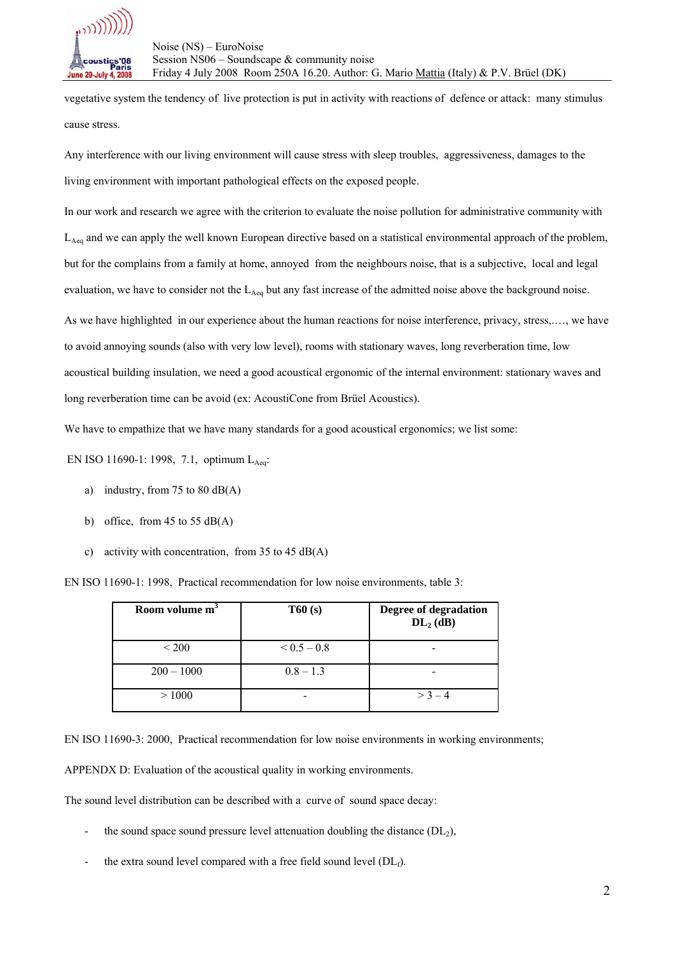

vegetative system the tendency of live protection is put in activity with reactions of defence or attack: many stimulus cause stress.

Any interference with our living environment will cause stress with sleep troubles, aggressiveness, damages to the living environment with important pathological effects on the exposed people.

In our work and research we agree with the criterion to evaluate the noise pollution for administrative community with L<sub>Aeq</sub> and we can apply the well known European directive based on a statistical environmental approach of the problem, but for the complains from a family at home, annoyed from the neighbours noise, that is a subjective, local and legal evaluation, we have to consider not the  $L_{Aeq}$  but any fast increase of the admitted noise above the background noise. As we have highlighted in our experience about the human reactions for noise interference, privacy, stress,.…, we have to avoid annoying sounds (also with very low level), rooms with stationary waves, long reverberation time, low acoustical building insulation, we need a good acoustical ergonomic of the internal environment: stationary waves and long reverberation time can be avoid (ex: AcoustiCone from Brüel Acoustics).

We have to empathize that we have many standards for a good acoustical ergonomics; we list some:

EN ISO 11690-1: 1998, 7.1, optimum LAeq:

- a) industry, from 75 to 80  $dB(A)$
- b) office, from 45 to 55  $dB(A)$
- c) activity with concentration, from 35 to 45 dB(A)

EN ISO 11690-1: 1998, Practical recommendation for low noise environments, table 3:

| Room volume m <sup>3</sup> | T60(s)      | Degree of degradation<br>$DL2$ (dB) |
|----------------------------|-------------|-------------------------------------|
| $\leq 200$                 | $0.5 - 0.8$ |                                     |
| $200 - 1000$               | $0.8 - 1.3$ |                                     |
| >1000                      |             | $> 3 - 4$                           |

EN ISO 11690-3: 2000, Practical recommendation for low noise environments in working environments;

APPENDX D: Evaluation of the acoustical quality in working environments.

The sound level distribution can be described with a curve of sound space decay:

- the sound space sound pressure level attenuation doubling the distance  $(DL_2)$ ,
- the extra sound level compared with a free field sound level  $(DL_f)$ .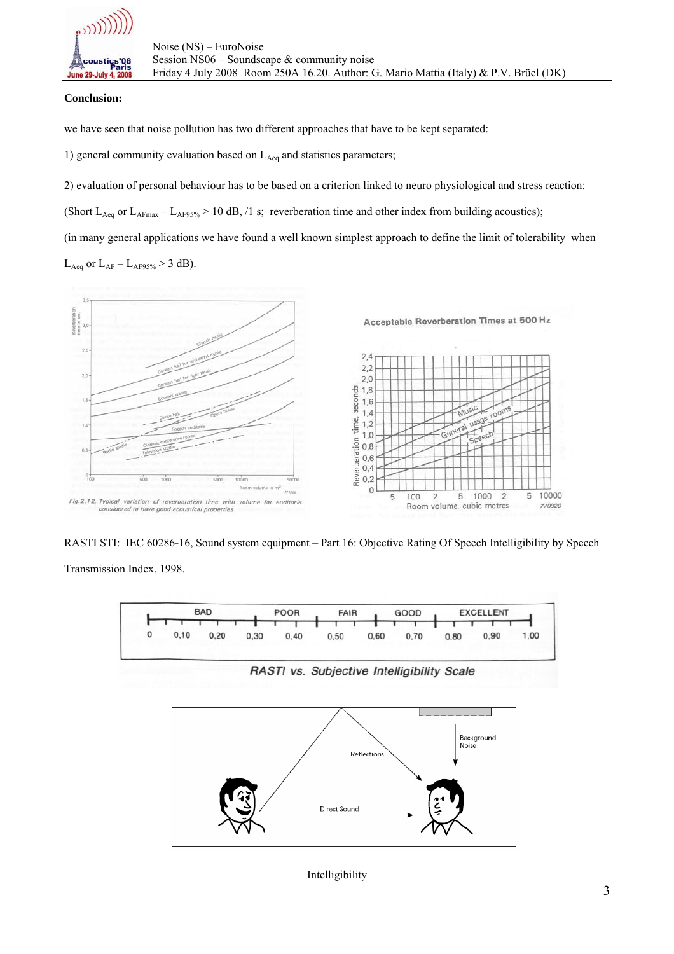

## **Conclusion:**

we have seen that noise pollution has two different approaches that have to be kept separated:

1) general community evaluation based on  $L_{Aeq}$  and statistics parameters;

2) evaluation of personal behaviour has to be based on a criterion linked to neuro physiological and stress reaction:

(Short  $L_{Aeq}$  or  $L_{AFmax} - L_{AF95\%} > 10$  dB, /1 s; reverberation time and other index from building acoustics);

(in many general applications we have found a well known simplest approach to define the limit of tolerability when

 $L_{Aeq}$  or  $L_{AF} - L_{AF95\%} > 3$  dB).



RASTI STI: IEC 60286-16, Sound system equipment – Part 16: Objective Rating Of Speech Intelligibility by Speech

Transmission Index. 1998.